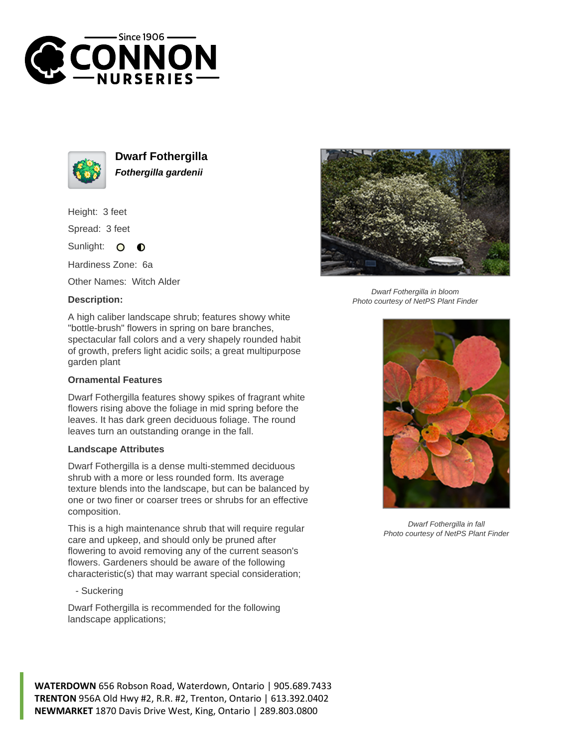



**Dwarf Fothergilla Fothergilla gardenii**

Height: 3 feet

Spread: 3 feet

Sunlight: O  $\bullet$ 

Hardiness Zone: 6a

Other Names: Witch Alder

## **Description:**



Dwarf Fothergilla in bloom Photo courtesy of NetPS Plant Finder

A high caliber landscape shrub; features showy white "bottle-brush" flowers in spring on bare branches, spectacular fall colors and a very shapely rounded habit of growth, prefers light acidic soils; a great multipurpose garden plant

## **Ornamental Features**

Dwarf Fothergilla features showy spikes of fragrant white flowers rising above the foliage in mid spring before the leaves. It has dark green deciduous foliage. The round leaves turn an outstanding orange in the fall.

## **Landscape Attributes**

Dwarf Fothergilla is a dense multi-stemmed deciduous shrub with a more or less rounded form. Its average texture blends into the landscape, but can be balanced by one or two finer or coarser trees or shrubs for an effective composition.

This is a high maintenance shrub that will require regular care and upkeep, and should only be pruned after flowering to avoid removing any of the current season's flowers. Gardeners should be aware of the following characteristic(s) that may warrant special consideration;

- Suckering

Dwarf Fothergilla is recommended for the following landscape applications;



Dwarf Fothergilla in fall Photo courtesy of NetPS Plant Finder

**WATERDOWN** 656 Robson Road, Waterdown, Ontario | 905.689.7433 **TRENTON** 956A Old Hwy #2, R.R. #2, Trenton, Ontario | 613.392.0402 **NEWMARKET** 1870 Davis Drive West, King, Ontario | 289.803.0800